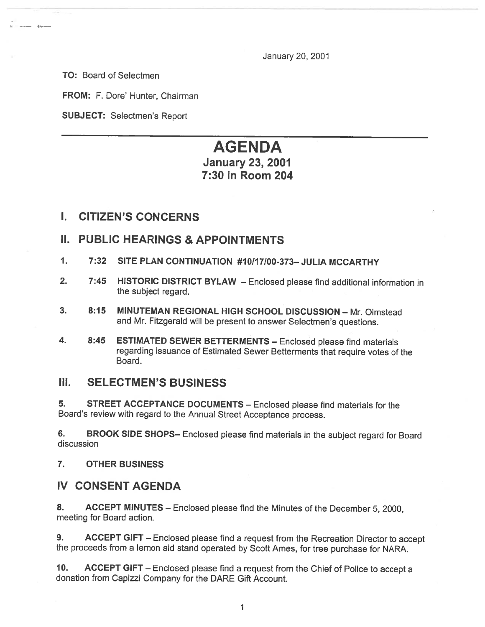January 20, 2001

TO: Board of Selectmen

**Comment Stermen** 

FROM: F. Dore' Hunter, Chairman

SUBJECT: Selectmen's Report

# AGENDA January 23, 2001 7:30 in Room 204

## I. CITIZEN'S CONCERNS

## II. PUBLIC HEARINGS & APPOINTMENTS

- 1. 7:32 SITE PLAN CONTINUATION #10117100-373— JULIA MCCARTHY
- 2. 7:45 HISTORIC DISTRICT BYLAW Enclosed <sup>p</sup>lease find additional information in the subject regard.
- 3. 8:15 MINUTEMAN REGIONAL HIGH SCHOOL DISCUSSION Mr. Olmstead and Mr. Fitzgerald will be present to answer Selectmen's questions.
- 4. 8:45 ESTIMATED SEWER BETTERMENTS Enclosed <sup>p</sup>lease find materials regarding issuance of Estimated Sewer Betterments that require votes of the Board.

## III. SELECTMEN'S BUSINESS

5. STREET ACCEPTANCE DOCUMENTS — Enclosed <sup>p</sup>lease find materials for the Board's review with regard to the Annual Street Acceptance process.

6. BROOK SIDE SHOPS— Enclosed <sup>p</sup>lease find materials in the subject regard for Board discussion

### 7. OTHER BUSINESS

## IV CONSENT AGENDA

8. ACCEPT MINUTES – Enclosed please find the Minutes of the December 5, 2000, meeting for Board action.

9. ACCEPT GIFT – Enclosed please find a request from the Recreation Director to accept the proceeds from <sup>a</sup> lemon aid stand operated by Scott Ames, for tree purchase for NARA.

10. ACCEPT GIFT – Enclosed please find a request from the Chief of Police to accept a donation from Capizzi Company for the DARE Gift Account.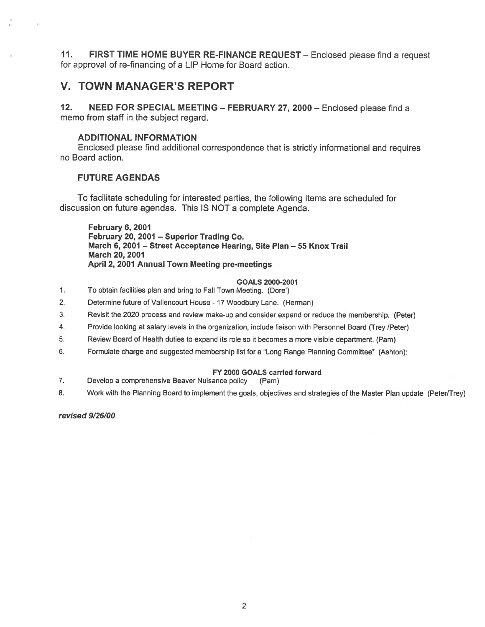11. FIRST TIME HOME BUYER RE-FINANCE REQUEST — Enclosed please find <sup>a</sup> reques<sup>t</sup> for approval of re-financing of <sup>a</sup> LIP Home for Board action.

## V. TOWN MANAGER'S REPORT

12. NEED FOR SPECIAL MEETING — FEBRUARY 27, <sup>2000</sup> — Enclosed please find <sup>a</sup> memo from staff in the subject regard.

#### ADDITIONAL INFORMATION

Enclosed please find additional correspondence that is strictly informational and requires no Board action.

#### FUTURE AGENDAS

To facilitate scheduling for interested parties, the following items are scheduled for discussion on future agendas. This IS NOT <sup>a</sup> complete Agenda.

February 6, 2001 February 20, 2001 — Superior Trading Co. March 6, 2001 — Street Acceptance Hearing, Site Plan — 55 Knox Trail March 20, 2001 April 2, 2001 Annual Town Meeting pre-meetings

#### GOALS 2000-2001

- 1. To obtain facilities plan and bring to Fall Town Meeting. (Dote')
- 2. Determine future of Vallencourt House 17 Woodbury Lane. (Herman)
- 3. Revisit the 2020 process and review make-up and consider expand or reduce the membership. (Peter)
- 4. Provide looking at salary levels in the organization, include liaison with Personnel Board (Trey /Peter)
- 5. Review Board of Health duties to expand its role so it becomes <sup>a</sup> more visible department. (Pam)
- 6. Formulate charge and suggested membership list for a "Long Range Planning Committee" (Ashton):

#### FY 2000 GOALS carried forward

- 7. Develop <sup>a</sup> comprehensive Beaver Nuisance policy (Pam)
- 8. Work with the Planning Board to implement the goals, objectives and strategies of the Master Plan update (Peter/Trey)

revised 9/26/00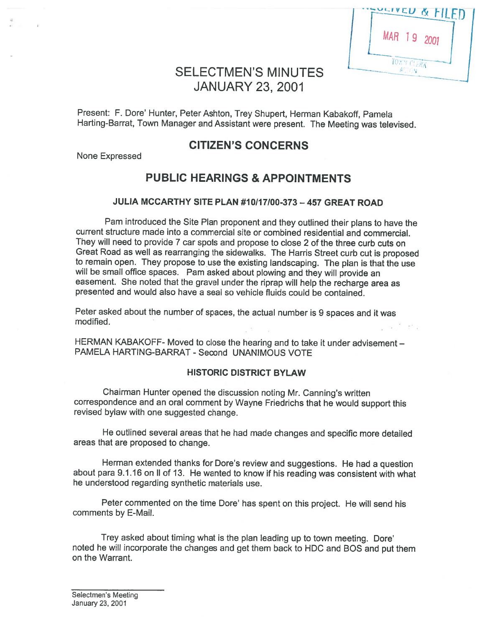| MAR 19 2001 |
|-------------|
|             |

# SELECTMEN'S MINUTES JANUARY 23, 2001

Present: F. Dore' Hunter, Peter Ashton, Trey Shupert, Herman Kabakoff, Pamela Harting-Barrat, Town Manager and Assistant were present. The Meeting was televised.

## CITIZEN'S CONCERNS

None Expressed

## PUBLIC HEARINGS & APPOINTMENTS

### JULIA MCCARTHY SITE PLAN #10/17/00-373 — 457 GREAT ROAD

Pam introduced the Site Plan proponen<sup>t</sup> and they outlined their <sup>p</sup>lans to have the current structure made into <sup>a</sup> commercial site or combined residential and commercial. They will need to provide <sup>7</sup> car spots and propose to close <sup>2</sup> of the three curb cuts on Great Road as well as rearranging the sidewalks. The Harris Street curb cut is propose<sup>d</sup> to remain open. They propose to use the existing landscaping. The <sup>p</sup>lan is that the use will be small office spaces. Pam asked about <sup>p</sup>lowing and they will provide an easement. She noted that the grave<sup>l</sup> under the riprap will help the recharge area as presented and would also have <sup>a</sup> seal so vehicle fluids could be contained.

Peter asked about the number of spaces, the actual number is <sup>9</sup> spaces and it was modified.

HERMAN KABAKOFF- Moved to close the hearing and to take it under advisement — PAMELA HARTING-BARRAT - Second UNANIMOUS VOTE

### HISTORIC DISTRICT BYLAW

Chairman Hunter opene<sup>d</sup> the discussion noting Mr. Canning's written correspondence and an oral comment by Wayne Friedrichs that he would suppor<sup>t</sup> this revised bylaw with one suggested change.

He outlined several areas that he had made changes and specific more detailed areas that are proposed to change.

Herman extended thanks for Dore's review and suggestions. He had <sup>a</sup> question about para 9.1.16 on II of 13. He wanted to know if his reading was consistent with what he understood regarding synthetic materials use.

Peter commented on the time Dore' has spen<sup>t</sup> on this project. He will send his comments by E-Mail.

Trey asked about timing what is the <sup>p</sup>lan leading up to town meeting. Dore' noted he will incorporate the changes and ge<sup>t</sup> them back to HDC and BOS and pu<sup>t</sup> them on the Warrant.

Selectmen's Meeting January 23, 2001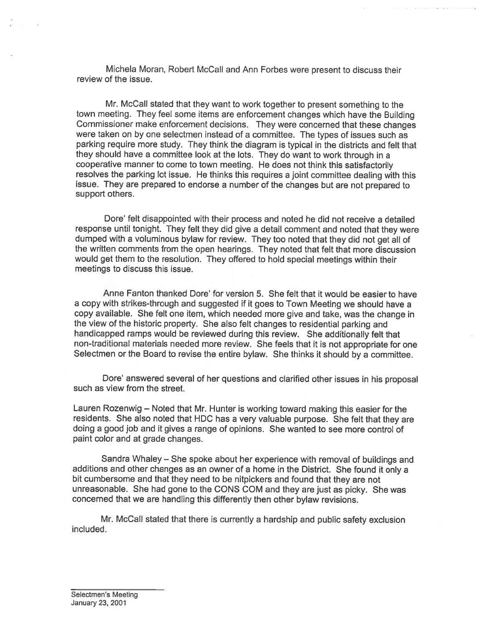Michela Moran, Robert McCall and Ann Forbes were presen<sup>t</sup> to discuss their review of the issue.

Mr. McCall stated that they want to work together to presen<sup>t</sup> something to the town meeting. They feel some items are enforcement changes which have the Building Commissioner make enforcement decisions. They were concerned that these changes were taken on by one selectmen instead of <sup>a</sup> committee. The types of issues such as parking require mote study. They think the diagram is typical in the districts and felt that they should have <sup>a</sup> committee look at the lots. They do want to work through in <sup>a</sup> cooperative manner to come to town meeting. He does not think this satisfactorily resolves the parking lot issue. He thinks this requires <sup>a</sup> joint committee dealing with this issue. They are prepared to endorse a number of the changes but are not prepared to suppor<sup>t</sup> others.

Dore' felt disappointed with their process and noted he did not receive <sup>a</sup> detailed response until tonight. They felt they did <sup>g</sup>ive <sup>a</sup> detail comment and noted that they were dumped with <sup>a</sup> voluminous bylaw for review. They too noted that they did not ge<sup>t</sup> all of the written comments from the open hearings. They noted that felt that more discussion would ge<sup>t</sup> them to the resolution. They offered to hold special meetings within their meetings to discuss this issue.

Anne Fanton thanked Dote' for version 5. She felt that it would be easier to have <sup>a</sup> copy with strikes-through and suggested if it goes to Town Meeting we should have <sup>a</sup> copy available. She felt one item, which needed more <sup>g</sup>ive and take, was the change in the view of the historic property. She also felt changes to residential parking and handicapped ramps would be reviewed during this review. She additionally felt that non-traditional materials needed more review. She feels that it is not appropriate for one Selectmen or the Board to revise the entire bylaw. She thinks it should by a committee.

Dore' answered several of her questions and clarified other issues in his proposal such as view from the street.

Lauren Rozenwig — Noted that Mr. Hunter is working toward making this easier for the residents. She also noted that HDC has <sup>a</sup> very valuable purpose. She felt that they are doing <sup>a</sup> good job and it gives <sup>a</sup> range of opinions. She wanted to see more control of paint color and at grade changes.

Sandra Whaley — She spoke about her experience with removal of buildings and additions and other changes as an owner of <sup>a</sup> home in the District. She found it only <sup>a</sup> bit cumbersome and that they need to be nitpickers and found that they are not unreasonable. She had gone to the CONS COM and they are just as <sup>p</sup>icky. She was concerned that we are handling this differently then other bylaw revisions.

Mr. McCall stated that there is currently <sup>a</sup> hardship and public safety exclusion included.

Selectmen's Meeting January 23, 2007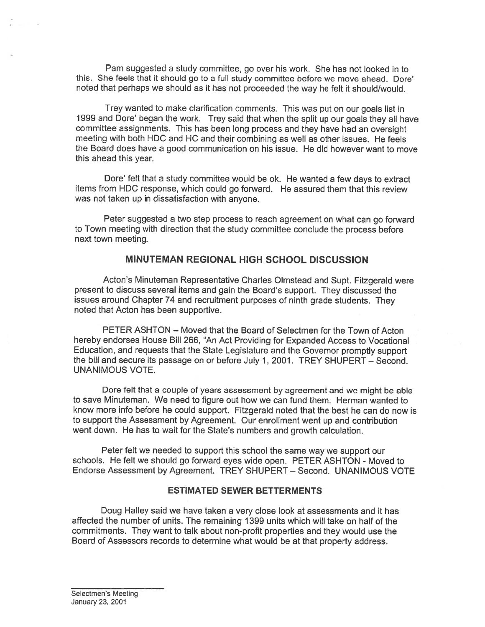Pam suggested <sup>a</sup> study committee, go over his work. She has not looked in to this. She feels that it should go to <sup>a</sup> full study committee before we move ahead. Dore' noted that perhaps we should as it has not proceeded the way he felt it should/would.

Trey wanted to make clarification comments. This was pu<sup>t</sup> on our goals list in <sup>1999</sup> and Dore' began the work. Trey said that when the split up our goals they all have committee assignments. This has been long process and they have had an oversight meeting with both HDC and HO and their combining as well as other issues. He feels the Board does have <sup>a</sup> good communication on his issue. He did however want to move this ahead this year.

Dore' felt that <sup>a</sup> study committee would be ok. He wanted <sup>a</sup> few days to extract items from HDC response, which could go forward. He assured them that this review was not taken up in dissatisfaction with anyone.

Peter suggested <sup>a</sup> two step process to reach agreemen<sup>t</sup> on what can go forward to Town meeting with direction that the study committee conclude the process before next town meeting.

### MINUTEMAN REGIONAL HIGH SCHOOL DISCUSSION

Acton's Minuteman Representative Charles Olmstead and Supt. Fitzgerald were presen<sup>t</sup> to discuss several items and gain the Board's support. They discussed the issues around Chapter <sup>74</sup> and recruitment purposes of ninth grade students. They noted that Acton has been supportive.

PETER ASHTON — Moved that the Board of Selectmen for the Town of Acton hereby endorses House Bill 266, 'An Act Providing for Expanded Access to Vocational Education, and requests that the State Legislature and the Governor promptly suppor<sup>t</sup> the bill and secure its passage on or before July 1, 2001. TREY SHUPERT — Second. UNANIMOUS VOTE.

Dore felt that <sup>a</sup> couple of years assessment by agreemen<sup>t</sup> and we might be able to save Minuteman. We need to figure out how we can fund them. Herman wanted to know more info before he could support. Fitzgerald noted that the best he can do now is to suppor<sup>t</sup> the Assessment by Agreement. Our enrollment went up and contribution went down. He has to wait for the State's numbers and growth calculation.

Peter felt we needed to suppor<sup>t</sup> this school the same way we suppor<sup>t</sup> our schools. He felt we should go forward eyes wide open. PETER ASHTON - Moved to Endorse Assessment by Agreement. TREY SHUPERT — Second. UNANIMOUS VOTE

### ESTIMATED SEWER BETTERMENTS

Doug Halley said we have taken <sup>a</sup> very close look at assessments and it has affected the number of units. The remaining 1399 units which will take on half of the commitments. They want to talk about non-profit properties and they would use the Board of Assessors records to determine what would be at that property address.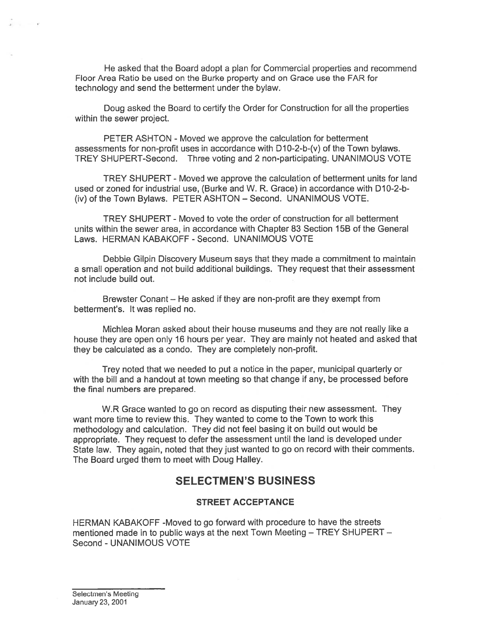He asked that the Board adopt <sup>a</sup> plan for Commercial properties and recommend Floor Area Ratio be used on the Burke property and on Grace use the FAR for technology and send the betterment under the bylaw.

Doug asked the Board to certify the Order for Construction for all the properties within the sewer project.

PETER ASHTON - Moved we approve the calculation for betterment assessments for non-profit uses in accordance with D10-2-b-(v) of the Town bylaws. TREY SHUPERT-Second. Three voting and 2 non-participating. UNANIMOUS VOTE

TREY SHUPERT - Moved we approve the calculation of betterment units for land used or zoned for industrial use, (Burke and W. R. Grace) in accordance with D10-2-b-(iv) of the Town Bylaws. PETER ASHTON — Second. UNANIMOUS VOTE.

TREY SHUPERT - Moved to vote the order of construction for all betterment units within the sewer area, in accordance with Chapter 83 Section 15B of the General Laws. HERMAN KABAKOFF - Second. UNANIMOUS VOTE

Debbie Gilpin Discovery Museum says that they made <sup>a</sup> commitment to maintain <sup>a</sup> small operation and not build additional buildings. They reques<sup>t</sup> that their assessment not include build out.

Brewster Conant — He asked if they are non-profit are they exemp<sup>t</sup> from betterment's. It was replied no.

Michlea Moran asked about their house museums and they are not really like <sup>a</sup> house they are open only 16 hours per year. They are mainly not heated and asked that they be calculated as <sup>a</sup> condo. They are completely non-profit.

Trey noted that we needed to pu<sup>t</sup> <sup>a</sup> notice in the paper, municipal quarterly or with the bill and <sup>a</sup> handout at town meeting so that change if any, be processed before the final numbers are prepared.

W.R Grace wanted to go on record as disputing their new assessment. They want more time to review this. They wanted to come to the Town to work this methodology and calculation. They did not feel basing it on build out would be appropriate. They reques<sup>t</sup> to defer the assessment until the land is developed under State law. They again, noted that they just wanted to go on record with their comments. The Board urged them to meet with Doug Halley.

## SELECTMEN'S BUSINESS

### STREET ACCEPTANCE

HERMAN KABAKOFF -Moved to go forward with procedure to have the streets mentioned made in to public ways at the next Town Meeting — TREY SHUPERT — Second - UNANIMOUS VOTE